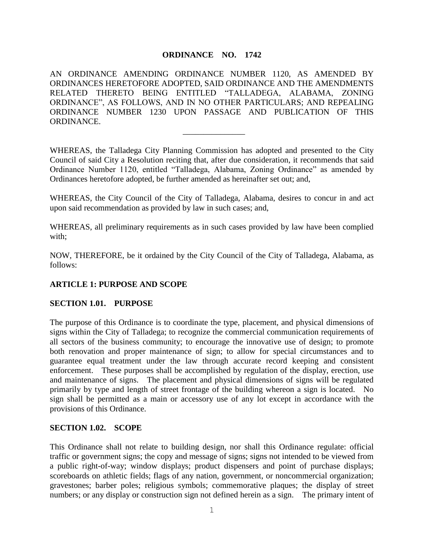## **ORDINANCE NO. 1742**

AN ORDINANCE AMENDING ORDINANCE NUMBER 1120, AS AMENDED BY ORDINANCES HERETOFORE ADOPTED, SAID ORDINANCE AND THE AMENDMENTS RELATED THERETO BEING ENTITLED "TALLADEGA, ALABAMA, ZONING ORDINANCE", AS FOLLOWS, AND IN NO OTHER PARTICULARS; AND REPEALING ORDINANCE NUMBER 1230 UPON PASSAGE AND PUBLICATION OF THIS ORDINANCE.

WHEREAS, the Talladega City Planning Commission has adopted and presented to the City Council of said City a Resolution reciting that, after due consideration, it recommends that said Ordinance Number 1120, entitled "Talladega, Alabama, Zoning Ordinance" as amended by Ordinances heretofore adopted, be further amended as hereinafter set out; and,

\_\_\_\_\_\_\_\_\_\_\_\_\_\_\_

WHEREAS, the City Council of the City of Talladega, Alabama, desires to concur in and act upon said recommendation as provided by law in such cases; and,

WHEREAS, all preliminary requirements as in such cases provided by law have been complied with;

NOW, THEREFORE, be it ordained by the City Council of the City of Talladega, Alabama, as follows:

### **ARTICLE 1: PURPOSE AND SCOPE**

### **SECTION 1.01. PURPOSE**

The purpose of this Ordinance is to coordinate the type, placement, and physical dimensions of signs within the City of Talladega; to recognize the commercial communication requirements of all sectors of the business community; to encourage the innovative use of design; to promote both renovation and proper maintenance of sign; to allow for special circumstances and to guarantee equal treatment under the law through accurate record keeping and consistent enforcement. These purposes shall be accomplished by regulation of the display, erection, use and maintenance of signs. The placement and physical dimensions of signs will be regulated primarily by type and length of street frontage of the building whereon a sign is located. No sign shall be permitted as a main or accessory use of any lot except in accordance with the provisions of this Ordinance.

### **SECTION 1.02. SCOPE**

This Ordinance shall not relate to building design, nor shall this Ordinance regulate: official traffic or government signs; the copy and message of signs; signs not intended to be viewed from a public right-of-way; window displays; product dispensers and point of purchase displays; scoreboards on athletic fields; flags of any nation, government, or noncommercial organization; gravestones; barber poles; religious symbols; commemorative plaques; the display of street numbers; or any display or construction sign not defined herein as a sign. The primary intent of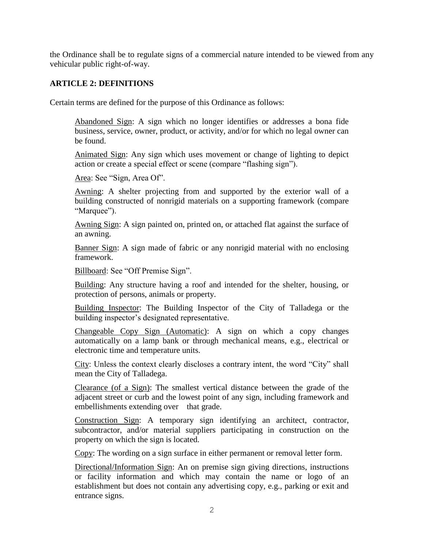the Ordinance shall be to regulate signs of a commercial nature intended to be viewed from any vehicular public right-of-way.

## **ARTICLE 2: DEFINITIONS**

Certain terms are defined for the purpose of this Ordinance as follows:

Abandoned Sign: A sign which no longer identifies or addresses a bona fide business, service, owner, product, or activity, and/or for which no legal owner can be found.

Animated Sign: Any sign which uses movement or change of lighting to depict action or create a special effect or scene (compare "flashing sign").

Area: See "Sign, Area Of".

Awning: A shelter projecting from and supported by the exterior wall of a building constructed of nonrigid materials on a supporting framework (compare "Marquee").

Awning Sign: A sign painted on, printed on, or attached flat against the surface of an awning.

Banner Sign: A sign made of fabric or any nonrigid material with no enclosing framework.

Billboard: See "Off Premise Sign".

Building: Any structure having a roof and intended for the shelter, housing, or protection of persons, animals or property.

Building Inspector: The Building Inspector of the City of Talladega or the building inspector's designated representative.

Changeable Copy Sign (Automatic): A sign on which a copy changes automatically on a lamp bank or through mechanical means, e.g., electrical or electronic time and temperature units.

City: Unless the context clearly discloses a contrary intent, the word "City" shall mean the City of Talladega.

Clearance (of a Sign): The smallest vertical distance between the grade of the adjacent street or curb and the lowest point of any sign, including framework and embellishments extending over that grade.

Construction Sign: A temporary sign identifying an architect, contractor, subcontractor, and/or material suppliers participating in construction on the property on which the sign is located.

Copy: The wording on a sign surface in either permanent or removal letter form.

Directional/Information Sign: An on premise sign giving directions, instructions or facility information and which may contain the name or logo of an establishment but does not contain any advertising copy, e.g., parking or exit and entrance signs.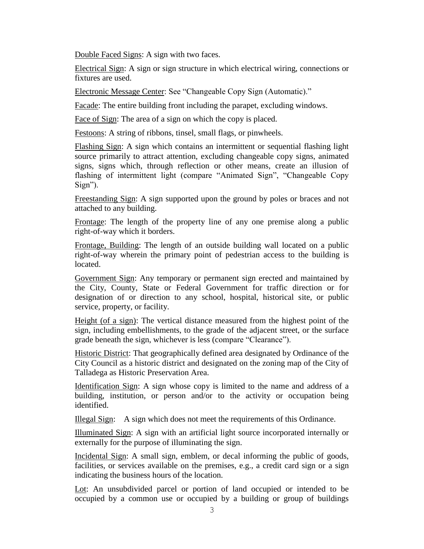Double Faced Signs: A sign with two faces.

Electrical Sign: A sign or sign structure in which electrical wiring, connections or fixtures are used.

Electronic Message Center: See "Changeable Copy Sign (Automatic)."

Facade: The entire building front including the parapet, excluding windows.

Face of Sign: The area of a sign on which the copy is placed.

Festoons: A string of ribbons, tinsel, small flags, or pinwheels.

Flashing Sign: A sign which contains an intermittent or sequential flashing light source primarily to attract attention, excluding changeable copy signs, animated signs, signs which, through reflection or other means, create an illusion of flashing of intermittent light (compare "Animated Sign", "Changeable Copy Sign").

Freestanding Sign: A sign supported upon the ground by poles or braces and not attached to any building.

Frontage: The length of the property line of any one premise along a public right-of-way which it borders.

Frontage, Building: The length of an outside building wall located on a public right-of-way wherein the primary point of pedestrian access to the building is located.

Government Sign: Any temporary or permanent sign erected and maintained by the City, County, State or Federal Government for traffic direction or for designation of or direction to any school, hospital, historical site, or public service, property, or facility.

Height (of a sign): The vertical distance measured from the highest point of the sign, including embellishments, to the grade of the adjacent street, or the surface grade beneath the sign, whichever is less (compare "Clearance").

Historic District: That geographically defined area designated by Ordinance of the City Council as a historic district and designated on the zoning map of the City of Talladega as Historic Preservation Area.

Identification Sign: A sign whose copy is limited to the name and address of a building, institution, or person and/or to the activity or occupation being identified.

Illegal Sign: A sign which does not meet the requirements of this Ordinance.

Illuminated Sign: A sign with an artificial light source incorporated internally or externally for the purpose of illuminating the sign.

Incidental Sign: A small sign, emblem, or decal informing the public of goods, facilities, or services available on the premises, e.g., a credit card sign or a sign indicating the business hours of the location.

Lot: An unsubdivided parcel or portion of land occupied or intended to be occupied by a common use or occupied by a building or group of buildings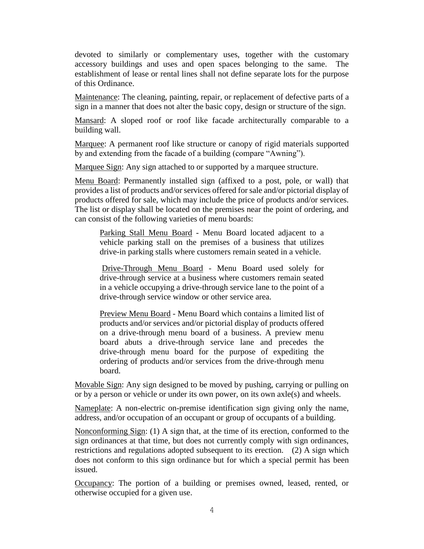devoted to similarly or complementary uses, together with the customary accessory buildings and uses and open spaces belonging to the same. The establishment of lease or rental lines shall not define separate lots for the purpose of this Ordinance.

Maintenance: The cleaning, painting, repair, or replacement of defective parts of a sign in a manner that does not alter the basic copy, design or structure of the sign.

Mansard: A sloped roof or roof like facade architecturally comparable to a building wall.

Marquee: A permanent roof like structure or canopy of rigid materials supported by and extending from the facade of a building (compare "Awning").

Marquee Sign: Any sign attached to or supported by a marquee structure.

Menu Board: Permanently installed sign (affixed to a post, pole, or wall) that provides a list of products and/or services offered for sale and/or pictorial display of products offered for sale, which may include the price of products and/or services. The list or display shall be located on the premises near the point of ordering, and can consist of the following varieties of menu boards:

Parking Stall Menu Board - Menu Board located adjacent to a vehicle parking stall on the premises of a business that utilizes drive-in parking stalls where customers remain seated in a vehicle.

Drive-Through Menu Board - Menu Board used solely for drive-through service at a business where customers remain seated in a vehicle occupying a drive-through service lane to the point of a drive-through service window or other service area.

Preview Menu Board - Menu Board which contains a limited list of products and/or services and/or pictorial display of products offered on a drive-through menu board of a business. A preview menu board abuts a drive-through service lane and precedes the drive-through menu board for the purpose of expediting the ordering of products and/or services from the drive-through menu board.

Movable Sign: Any sign designed to be moved by pushing, carrying or pulling on or by a person or vehicle or under its own power, on its own axle(s) and wheels.

Nameplate: A non-electric on-premise identification sign giving only the name, address, and/or occupation of an occupant or group of occupants of a building.

Nonconforming Sign: (1) A sign that, at the time of its erection, conformed to the sign ordinances at that time, but does not currently comply with sign ordinances, restrictions and regulations adopted subsequent to its erection. (2) A sign which does not conform to this sign ordinance but for which a special permit has been issued.

Occupancy: The portion of a building or premises owned, leased, rented, or otherwise occupied for a given use.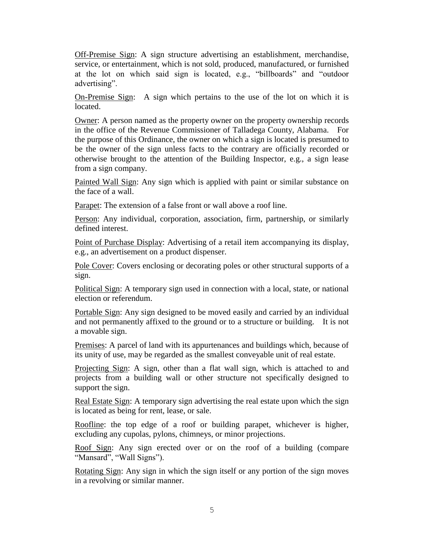Off-Premise Sign: A sign structure advertising an establishment, merchandise, service, or entertainment, which is not sold, produced, manufactured, or furnished at the lot on which said sign is located, e.g., "billboards" and "outdoor advertising".

On-Premise Sign: A sign which pertains to the use of the lot on which it is located.

Owner: A person named as the property owner on the property ownership records in the office of the Revenue Commissioner of Talladega County, Alabama. For the purpose of this Ordinance, the owner on which a sign is located is presumed to be the owner of the sign unless facts to the contrary are officially recorded or otherwise brought to the attention of the Building Inspector, e.g., a sign lease from a sign company.

Painted Wall Sign: Any sign which is applied with paint or similar substance on the face of a wall.

Parapet: The extension of a false front or wall above a roof line.

Person: Any individual, corporation, association, firm, partnership, or similarly defined interest.

Point of Purchase Display: Advertising of a retail item accompanying its display, e.g., an advertisement on a product dispenser.

Pole Cover: Covers enclosing or decorating poles or other structural supports of a sign.

Political Sign: A temporary sign used in connection with a local, state, or national election or referendum.

Portable Sign: Any sign designed to be moved easily and carried by an individual and not permanently affixed to the ground or to a structure or building. It is not a movable sign.

Premises: A parcel of land with its appurtenances and buildings which, because of its unity of use, may be regarded as the smallest conveyable unit of real estate.

Projecting Sign: A sign, other than a flat wall sign, which is attached to and projects from a building wall or other structure not specifically designed to support the sign.

Real Estate Sign: A temporary sign advertising the real estate upon which the sign is located as being for rent, lease, or sale.

Roofline: the top edge of a roof or building parapet, whichever is higher, excluding any cupolas, pylons, chimneys, or minor projections.

Roof Sign: Any sign erected over or on the roof of a building (compare "Mansard", "Wall Signs").

Rotating Sign: Any sign in which the sign itself or any portion of the sign moves in a revolving or similar manner.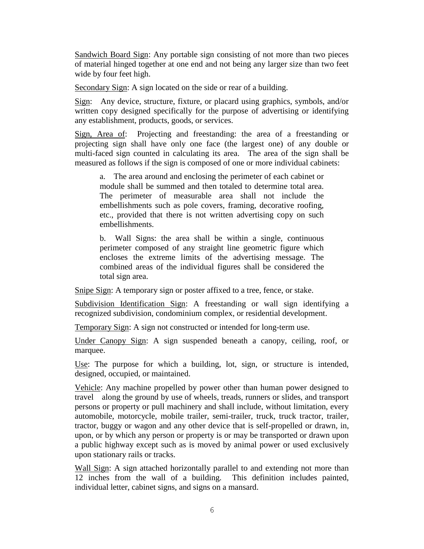Sandwich Board Sign: Any portable sign consisting of not more than two pieces of material hinged together at one end and not being any larger size than two feet wide by four feet high.

Secondary Sign: A sign located on the side or rear of a building.

Sign: Any device, structure, fixture, or placard using graphics, symbols, and/or written copy designed specifically for the purpose of advertising or identifying any establishment, products, goods, or services.

Sign, Area of: Projecting and freestanding: the area of a freestanding or projecting sign shall have only one face (the largest one) of any double or multi-faced sign counted in calculating its area. The area of the sign shall be measured as follows if the sign is composed of one or more individual cabinets:

a. The area around and enclosing the perimeter of each cabinet or module shall be summed and then totaled to determine total area. The perimeter of measurable area shall not include the embellishments such as pole covers, framing, decorative roofing, etc., provided that there is not written advertising copy on such embellishments.

b. Wall Signs: the area shall be within a single, continuous perimeter composed of any straight line geometric figure which encloses the extreme limits of the advertising message. The combined areas of the individual figures shall be considered the total sign area.

Snipe Sign: A temporary sign or poster affixed to a tree, fence, or stake.

Subdivision Identification Sign: A freestanding or wall sign identifying a recognized subdivision, condominium complex, or residential development.

Temporary Sign: A sign not constructed or intended for long-term use.

Under Canopy Sign: A sign suspended beneath a canopy, ceiling, roof, or marquee.

Use: The purpose for which a building, lot, sign, or structure is intended, designed, occupied, or maintained.

Vehicle: Any machine propelled by power other than human power designed to travel along the ground by use of wheels, treads, runners or slides, and transport persons or property or pull machinery and shall include, without limitation, every automobile, motorcycle, mobile trailer, semi-trailer, truck, truck tractor, trailer, tractor, buggy or wagon and any other device that is self-propelled or drawn, in, upon, or by which any person or property is or may be transported or drawn upon a public highway except such as is moved by animal power or used exclusively upon stationary rails or tracks.

Wall Sign: A sign attached horizontally parallel to and extending not more than 12 inches from the wall of a building. This definition includes painted, individual letter, cabinet signs, and signs on a mansard.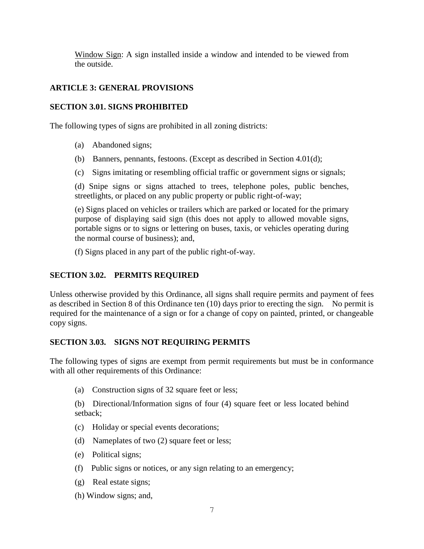Window Sign: A sign installed inside a window and intended to be viewed from the outside.

# **ARTICLE 3: GENERAL PROVISIONS**

# **SECTION 3.01. SIGNS PROHIBITED**

The following types of signs are prohibited in all zoning districts:

- (a) Abandoned signs;
- (b) Banners, pennants, festoons. (Except as described in Section 4.01(d);
- (c) Signs imitating or resembling official traffic or government signs or signals;

(d) Snipe signs or signs attached to trees, telephone poles, public benches, streetlights, or placed on any public property or public right-of-way;

(e) Signs placed on vehicles or trailers which are parked or located for the primary purpose of displaying said sign (this does not apply to allowed movable signs, portable signs or to signs or lettering on buses, taxis, or vehicles operating during the normal course of business); and,

(f) Signs placed in any part of the public right-of-way.

# **SECTION 3.02. PERMITS REQUIRED**

Unless otherwise provided by this Ordinance, all signs shall require permits and payment of fees as described in Section 8 of this Ordinance ten (10) days prior to erecting the sign. No permit is required for the maintenance of a sign or for a change of copy on painted, printed, or changeable copy signs.

### **SECTION 3.03. SIGNS NOT REQUIRING PERMITS**

The following types of signs are exempt from permit requirements but must be in conformance with all other requirements of this Ordinance:

(a) Construction signs of 32 square feet or less;

(b) Directional/Information signs of four (4) square feet or less located behind setback;

- (c) Holiday or special events decorations;
- (d) Nameplates of two (2) square feet or less;
- (e) Political signs;
- (f) Public signs or notices, or any sign relating to an emergency;
- (g) Real estate signs;
- (h) Window signs; and,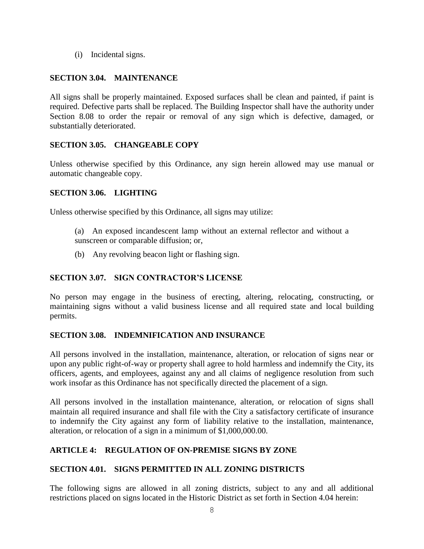(i) Incidental signs.

# **SECTION 3.04. MAINTENANCE**

All signs shall be properly maintained. Exposed surfaces shall be clean and painted, if paint is required. Defective parts shall be replaced. The Building Inspector shall have the authority under Section 8.08 to order the repair or removal of any sign which is defective, damaged, or substantially deteriorated.

# **SECTION 3.05. CHANGEABLE COPY**

Unless otherwise specified by this Ordinance, any sign herein allowed may use manual or automatic changeable copy.

# **SECTION 3.06. LIGHTING**

Unless otherwise specified by this Ordinance, all signs may utilize:

- (a) An exposed incandescent lamp without an external reflector and without a sunscreen or comparable diffusion; or,
- (b) Any revolving beacon light or flashing sign.

# **SECTION 3.07. SIGN CONTRACTOR'S LICENSE**

No person may engage in the business of erecting, altering, relocating, constructing, or maintaining signs without a valid business license and all required state and local building permits.

# **SECTION 3.08. INDEMNIFICATION AND INSURANCE**

All persons involved in the installation, maintenance, alteration, or relocation of signs near or upon any public right-of-way or property shall agree to hold harmless and indemnify the City, its officers, agents, and employees, against any and all claims of negligence resolution from such work insofar as this Ordinance has not specifically directed the placement of a sign.

All persons involved in the installation maintenance, alteration, or relocation of signs shall maintain all required insurance and shall file with the City a satisfactory certificate of insurance to indemnify the City against any form of liability relative to the installation, maintenance, alteration, or relocation of a sign in a minimum of \$1,000,000.00.

# **ARTICLE 4: REGULATION OF ON-PREMISE SIGNS BY ZONE**

# **SECTION 4.01. SIGNS PERMITTED IN ALL ZONING DISTRICTS**

The following signs are allowed in all zoning districts, subject to any and all additional restrictions placed on signs located in the Historic District as set forth in Section 4.04 herein: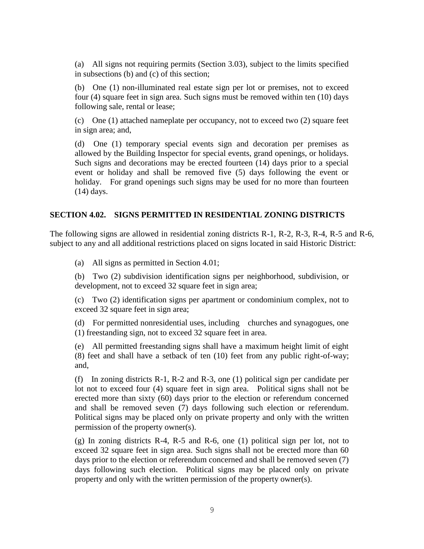(a) All signs not requiring permits (Section 3.03), subject to the limits specified in subsections (b) and (c) of this section;

(b) One (1) non-illuminated real estate sign per lot or premises, not to exceed four (4) square feet in sign area. Such signs must be removed within ten (10) days following sale, rental or lease;

(c) One (1) attached nameplate per occupancy, not to exceed two (2) square feet in sign area; and,

(d) One (1) temporary special events sign and decoration per premises as allowed by the Building Inspector for special events, grand openings, or holidays. Such signs and decorations may be erected fourteen (14) days prior to a special event or holiday and shall be removed five (5) days following the event or holiday. For grand openings such signs may be used for no more than fourteen (14) days.

### **SECTION 4.02. SIGNS PERMITTED IN RESIDENTIAL ZONING DISTRICTS**

The following signs are allowed in residential zoning districts R-1, R-2, R-3, R-4, R-5 and R-6, subject to any and all additional restrictions placed on signs located in said Historic District:

(a) All signs as permitted in Section 4.01;

(b) Two (2) subdivision identification signs per neighborhood, subdivision, or development, not to exceed 32 square feet in sign area;

(c) Two (2) identification signs per apartment or condominium complex, not to exceed 32 square feet in sign area;

(d) For permitted nonresidential uses, including churches and synagogues, one (1) freestanding sign, not to exceed 32 square feet in area.

(e) All permitted freestanding signs shall have a maximum height limit of eight (8) feet and shall have a setback of ten (10) feet from any public right-of-way; and,

(f) In zoning districts R-1, R-2 and R-3, one (1) political sign per candidate per lot not to exceed four (4) square feet in sign area. Political signs shall not be erected more than sixty (60) days prior to the election or referendum concerned and shall be removed seven (7) days following such election or referendum. Political signs may be placed only on private property and only with the written permission of the property owner(s).

(g) In zoning districts R-4, R-5 and R-6, one (1) political sign per lot, not to exceed 32 square feet in sign area. Such signs shall not be erected more than 60 days prior to the election or referendum concerned and shall be removed seven (7) days following such election. Political signs may be placed only on private property and only with the written permission of the property owner(s).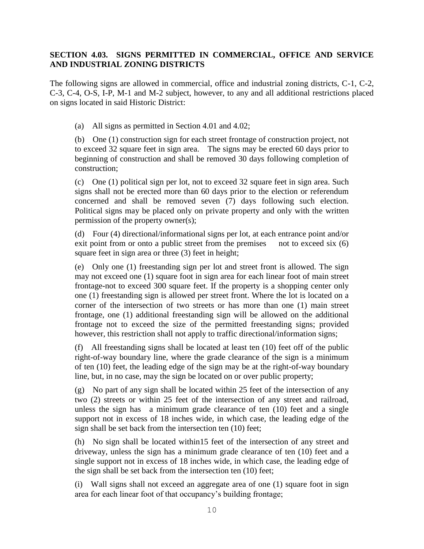# **SECTION 4.03. SIGNS PERMITTED IN COMMERCIAL, OFFICE AND SERVICE AND INDUSTRIAL ZONING DISTRICTS**

The following signs are allowed in commercial, office and industrial zoning districts, C-1, C-2, C-3, C-4, O-S, I-P, M-1 and M-2 subject, however, to any and all additional restrictions placed on signs located in said Historic District:

(a) All signs as permitted in Section 4.01 and 4.02;

(b) One (1) construction sign for each street frontage of construction project, not to exceed 32 square feet in sign area. The signs may be erected 60 days prior to beginning of construction and shall be removed 30 days following completion of construction;

(c) One (1) political sign per lot, not to exceed 32 square feet in sign area. Such signs shall not be erected more than 60 days prior to the election or referendum concerned and shall be removed seven (7) days following such election. Political signs may be placed only on private property and only with the written permission of the property owner(s);

(d) Four (4) directional/informational signs per lot, at each entrance point and/or exit point from or onto a public street from the premises not to exceed six (6) square feet in sign area or three (3) feet in height;

(e) Only one (1) freestanding sign per lot and street front is allowed. The sign may not exceed one (1) square foot in sign area for each linear foot of main street frontage-not to exceed 300 square feet. If the property is a shopping center only one (1) freestanding sign is allowed per street front. Where the lot is located on a corner of the intersection of two streets or has more than one (1) main street frontage, one (1) additional freestanding sign will be allowed on the additional frontage not to exceed the size of the permitted freestanding signs; provided however, this restriction shall not apply to traffic directional/information signs;

(f) All freestanding signs shall be located at least ten (10) feet off of the public right-of-way boundary line, where the grade clearance of the sign is a minimum of ten (10) feet, the leading edge of the sign may be at the right-of-way boundary line, but, in no case, may the sign be located on or over public property;

(g) No part of any sign shall be located within 25 feet of the intersection of any two (2) streets or within 25 feet of the intersection of any street and railroad, unless the sign has a minimum grade clearance of ten (10) feet and a single support not in excess of 18 inches wide, in which case, the leading edge of the sign shall be set back from the intersection ten (10) feet;

(h) No sign shall be located within15 feet of the intersection of any street and driveway, unless the sign has a minimum grade clearance of ten (10) feet and a single support not in excess of 18 inches wide, in which case, the leading edge of the sign shall be set back from the intersection ten (10) feet;

(i) Wall signs shall not exceed an aggregate area of one (1) square foot in sign area for each linear foot of that occupancy's building frontage;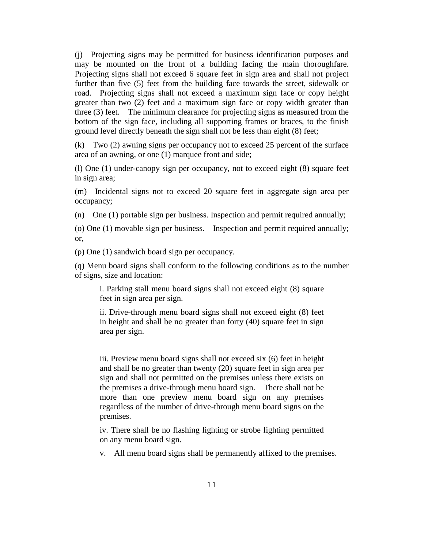(j) Projecting signs may be permitted for business identification purposes and may be mounted on the front of a building facing the main thoroughfare. Projecting signs shall not exceed 6 square feet in sign area and shall not project further than five (5) feet from the building face towards the street, sidewalk or road. Projecting signs shall not exceed a maximum sign face or copy height greater than two (2) feet and a maximum sign face or copy width greater than three (3) feet. The minimum clearance for projecting signs as measured from the bottom of the sign face, including all supporting frames or braces, to the finish ground level directly beneath the sign shall not be less than eight (8) feet;

(k) Two (2) awning signs per occupancy not to exceed 25 percent of the surface area of an awning, or one (1) marquee front and side;

(l) One (1) under-canopy sign per occupancy, not to exceed eight (8) square feet in sign area;

(m) Incidental signs not to exceed 20 square feet in aggregate sign area per occupancy;

(n) One (1) portable sign per business. Inspection and permit required annually;

(o) One (1) movable sign per business. Inspection and permit required annually; or,

(p) One (1) sandwich board sign per occupancy.

(q) Menu board signs shall conform to the following conditions as to the number of signs, size and location:

i. Parking stall menu board signs shall not exceed eight (8) square feet in sign area per sign.

ii. Drive-through menu board signs shall not exceed eight (8) feet in height and shall be no greater than forty (40) square feet in sign area per sign.

iii. Preview menu board signs shall not exceed six (6) feet in height and shall be no greater than twenty (20) square feet in sign area per sign and shall not permitted on the premises unless there exists on the premises a drive-through menu board sign. There shall not be more than one preview menu board sign on any premises regardless of the number of drive-through menu board signs on the premises.

iv. There shall be no flashing lighting or strobe lighting permitted on any menu board sign.

v. All menu board signs shall be permanently affixed to the premises.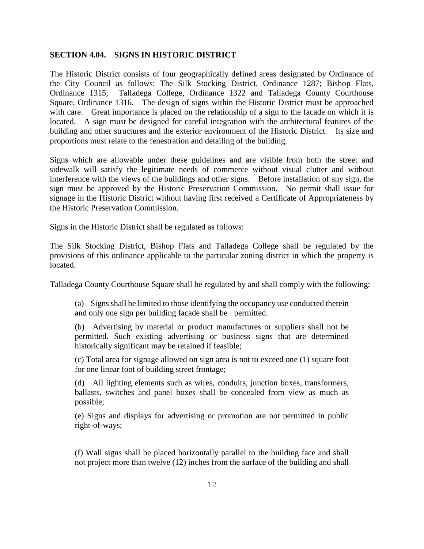#### **SECTION 4.04. SIGNS IN HISTORIC DISTRICT**

The Historic District consists of four geographically defined areas designated by Ordinance of the City Council as follows: The Silk Stocking District, Ordinance 1287; Bishop Flats, Ordinance 1315; Talladega College, Ordinance 1322 and Talladega County Courthouse Square, Ordinance 1316. The design of signs within the Historic District must be approached with care. Great importance is placed on the relationship of a sign to the facade on which it is located. A sign must be designed for careful integration with the architectural features of the building and other structures and the exterior environment of the Historic District. Its size and proportions must relate to the fenestration and detailing of the building.

Signs which are allowable under these guidelines and are visible from both the street and sidewalk will satisfy the legitimate needs of commerce without visual clutter and without interference with the views of the buildings and other signs. Before installation of any sign, the sign must be approved by the Historic Preservation Commission. No permit shall issue for signage in the Historic District without having first received a Certificate of Appropriateness by the Historic Preservation Commission.

Signs in the Historic District shall be regulated as follows:

The Silk Stocking District, Bishop Flats and Talladega College shall be regulated by the provisions of this ordinance applicable to the particular zoning district in which the property is located.

Talladega County Courthouse Square shall be regulated by and shall comply with the following:

(a) Signs shall be limited to those identifying the occupancy use conducted therein and only one sign per building facade shall be permitted.

(b) Advertising by material or product manufactures or suppliers shall not be permitted. Such existing advertising or business signs that are determined historically significant may be retained if feasible;

(c) Total area for signage allowed on sign area is not to exceed one (1) square foot for one linear foot of building street frontage;

(d) All lighting elements such as wires, conduits, junction boxes, transformers, ballasts, switches and panel boxes shall be concealed from view as much as possible;

(e) Signs and displays for advertising or promotion are not permitted in public right-of-ways;

(f) Wall signs shall be placed horizontally parallel to the building face and shall not project more than twelve (12) inches from the surface of the building and shall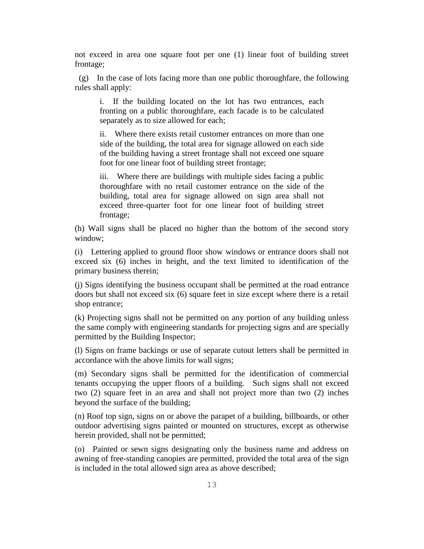not exceed in area one square foot per one (1) linear foot of building street frontage;

(g) In the case of lots facing more than one public thoroughfare, the following rules shall apply:

i. If the building located on the lot has two entrances, each fronting on a public thoroughfare, each facade is to be calculated separately as to size allowed for each;

ii. Where there exists retail customer entrances on more than one side of the building, the total area for signage allowed on each side of the building having a street frontage shall not exceed one square foot for one linear foot of building street frontage;

iii. Where there are buildings with multiple sides facing a public thoroughfare with no retail customer entrance on the side of the building, total area for signage allowed on sign area shall not exceed three-quarter foot for one linear foot of building street frontage;

(h) Wall signs shall be placed no higher than the bottom of the second story window;

(i) Lettering applied to ground floor show windows or entrance doors shall not exceed six (6) inches in height, and the text limited to identification of the primary business therein;

(j) Signs identifying the business occupant shall be permitted at the road entrance doors but shall not exceed six (6) square feet in size except where there is a retail shop entrance;

(k) Projecting signs shall not be permitted on any portion of any building unless the same comply with engineering standards for projecting signs and are specially permitted by the Building Inspector;

(l) Signs on frame backings or use of separate cutout letters shall be permitted in accordance with the above limits for wall signs;

(m) Secondary signs shall be permitted for the identification of commercial tenants occupying the upper floors of a building. Such signs shall not exceed two (2) square feet in an area and shall not project more than two (2) inches beyond the surface of the building;

(n) Roof top sign, signs on or above the parapet of a building, billboards, or other outdoor advertising signs painted or mounted on structures, except as otherwise herein provided, shall not be permitted;

(o) Painted or sewn signs designating only the business name and address on awning of free-standing canopies are permitted, provided the total area of the sign is included in the total allowed sign area as above described;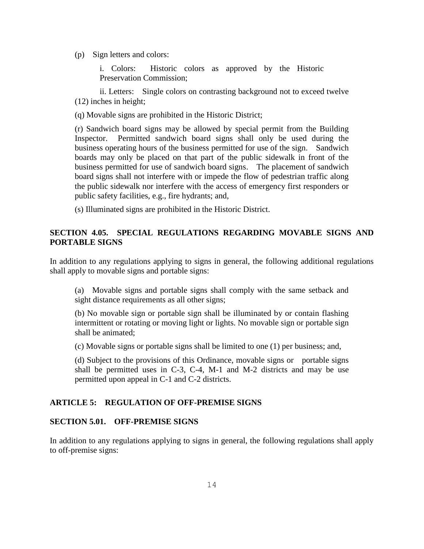(p) Sign letters and colors:

i. Colors: Historic colors as approved by the Historic Preservation Commission;

ii. Letters: Single colors on contrasting background not to exceed twelve (12) inches in height;

(q) Movable signs are prohibited in the Historic District;

(r) Sandwich board signs may be allowed by special permit from the Building Inspector. Permitted sandwich board signs shall only be used during the business operating hours of the business permitted for use of the sign. Sandwich boards may only be placed on that part of the public sidewalk in front of the business permitted for use of sandwich board signs. The placement of sandwich board signs shall not interfere with or impede the flow of pedestrian traffic along the public sidewalk nor interfere with the access of emergency first responders or public safety facilities, e.g., fire hydrants; and,

(s) Illuminated signs are prohibited in the Historic District.

## **SECTION 4.05. SPECIAL REGULATIONS REGARDING MOVABLE SIGNS AND PORTABLE SIGNS**

In addition to any regulations applying to signs in general, the following additional regulations shall apply to movable signs and portable signs:

(a) Movable signs and portable signs shall comply with the same setback and sight distance requirements as all other signs;

(b) No movable sign or portable sign shall be illuminated by or contain flashing intermittent or rotating or moving light or lights. No movable sign or portable sign shall be animated;

(c) Movable signs or portable signs shall be limited to one (1) per business; and,

(d) Subject to the provisions of this Ordinance, movable signs or portable signs shall be permitted uses in C-3, C-4, M-1 and M-2 districts and may be use permitted upon appeal in C-1 and C-2 districts.

#### **ARTICLE 5: REGULATION OF OFF-PREMISE SIGNS**

#### **SECTION 5.01. OFF-PREMISE SIGNS**

In addition to any regulations applying to signs in general, the following regulations shall apply to off-premise signs: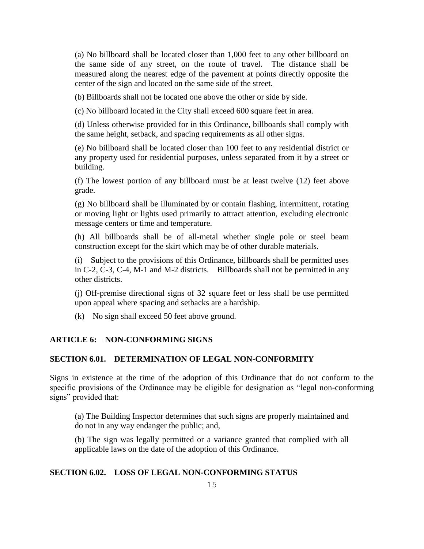(a) No billboard shall be located closer than 1,000 feet to any other billboard on the same side of any street, on the route of travel. The distance shall be measured along the nearest edge of the pavement at points directly opposite the center of the sign and located on the same side of the street.

(b) Billboards shall not be located one above the other or side by side.

(c) No billboard located in the City shall exceed 600 square feet in area.

(d) Unless otherwise provided for in this Ordinance, billboards shall comply with the same height, setback, and spacing requirements as all other signs.

(e) No billboard shall be located closer than 100 feet to any residential district or any property used for residential purposes, unless separated from it by a street or building.

(f) The lowest portion of any billboard must be at least twelve (12) feet above grade.

(g) No billboard shall be illuminated by or contain flashing, intermittent, rotating or moving light or lights used primarily to attract attention, excluding electronic message centers or time and temperature.

(h) All billboards shall be of all-metal whether single pole or steel beam construction except for the skirt which may be of other durable materials.

(i) Subject to the provisions of this Ordinance, billboards shall be permitted uses in C-2, C-3, C-4, M-1 and M-2 districts. Billboards shall not be permitted in any other districts.

(j) Off-premise directional signs of 32 square feet or less shall be use permitted upon appeal where spacing and setbacks are a hardship.

(k) No sign shall exceed 50 feet above ground.

#### **ARTICLE 6: NON-CONFORMING SIGNS**

#### **SECTION 6.01. DETERMINATION OF LEGAL NON-CONFORMITY**

Signs in existence at the time of the adoption of this Ordinance that do not conform to the specific provisions of the Ordinance may be eligible for designation as "legal non-conforming signs" provided that:

(a) The Building Inspector determines that such signs are properly maintained and do not in any way endanger the public; and,

(b) The sign was legally permitted or a variance granted that complied with all applicable laws on the date of the adoption of this Ordinance.

#### **SECTION 6.02. LOSS OF LEGAL NON-CONFORMING STATUS**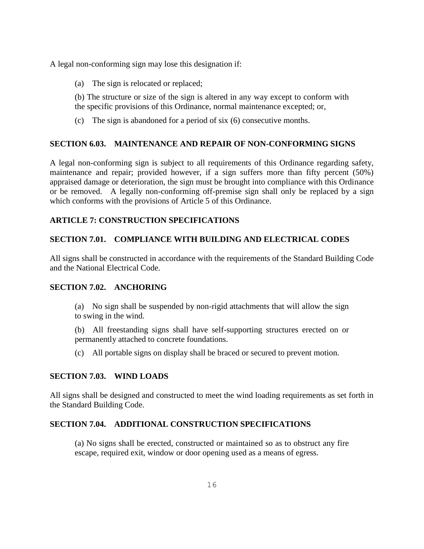A legal non-conforming sign may lose this designation if:

(a) The sign is relocated or replaced;

(b) The structure or size of the sign is altered in any way except to conform with the specific provisions of this Ordinance, normal maintenance excepted; or,

(c) The sign is abandoned for a period of six (6) consecutive months.

### **SECTION 6.03. MAINTENANCE AND REPAIR OF NON-CONFORMING SIGNS**

A legal non-conforming sign is subject to all requirements of this Ordinance regarding safety, maintenance and repair; provided however, if a sign suffers more than fifty percent (50%) appraised damage or deterioration, the sign must be brought into compliance with this Ordinance or be removed. A legally non-conforming off-premise sign shall only be replaced by a sign which conforms with the provisions of Article 5 of this Ordinance.

### **ARTICLE 7: CONSTRUCTION SPECIFICATIONS**

### **SECTION 7.01. COMPLIANCE WITH BUILDING AND ELECTRICAL CODES**

All signs shall be constructed in accordance with the requirements of the Standard Building Code and the National Electrical Code.

### **SECTION 7.02. ANCHORING**

(a) No sign shall be suspended by non-rigid attachments that will allow the sign to swing in the wind.

(b) All freestanding signs shall have self-supporting structures erected on or permanently attached to concrete foundations.

(c) All portable signs on display shall be braced or secured to prevent motion.

### **SECTION 7.03. WIND LOADS**

All signs shall be designed and constructed to meet the wind loading requirements as set forth in the Standard Building Code.

### **SECTION 7.04. ADDITIONAL CONSTRUCTION SPECIFICATIONS**

(a) No signs shall be erected, constructed or maintained so as to obstruct any fire escape, required exit, window or door opening used as a means of egress.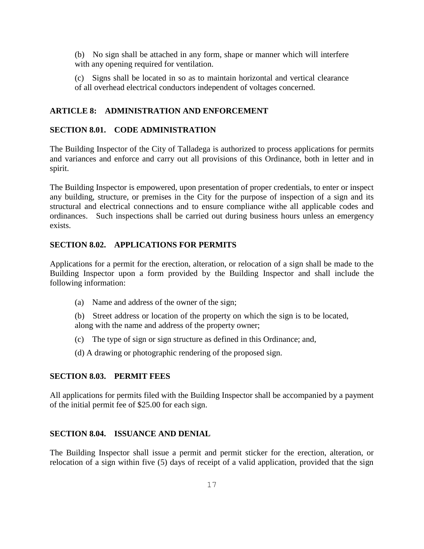(b) No sign shall be attached in any form, shape or manner which will interfere with any opening required for ventilation.

(c) Signs shall be located in so as to maintain horizontal and vertical clearance of all overhead electrical conductors independent of voltages concerned.

#### **ARTICLE 8: ADMINISTRATION AND ENFORCEMENT**

#### **SECTION 8.01. CODE ADMINISTRATION**

The Building Inspector of the City of Talladega is authorized to process applications for permits and variances and enforce and carry out all provisions of this Ordinance, both in letter and in spirit.

The Building Inspector is empowered, upon presentation of proper credentials, to enter or inspect any building, structure, or premises in the City for the purpose of inspection of a sign and its structural and electrical connections and to ensure compliance withe all applicable codes and ordinances. Such inspections shall be carried out during business hours unless an emergency exists.

### **SECTION 8.02. APPLICATIONS FOR PERMITS**

Applications for a permit for the erection, alteration, or relocation of a sign shall be made to the Building Inspector upon a form provided by the Building Inspector and shall include the following information:

- (a) Name and address of the owner of the sign;
- (b) Street address or location of the property on which the sign is to be located, along with the name and address of the property owner;
- (c) The type of sign or sign structure as defined in this Ordinance; and,
- (d) A drawing or photographic rendering of the proposed sign.

#### **SECTION 8.03. PERMIT FEES**

All applications for permits filed with the Building Inspector shall be accompanied by a payment of the initial permit fee of \$25.00 for each sign.

#### **SECTION 8.04. ISSUANCE AND DENIAL**

The Building Inspector shall issue a permit and permit sticker for the erection, alteration, or relocation of a sign within five (5) days of receipt of a valid application, provided that the sign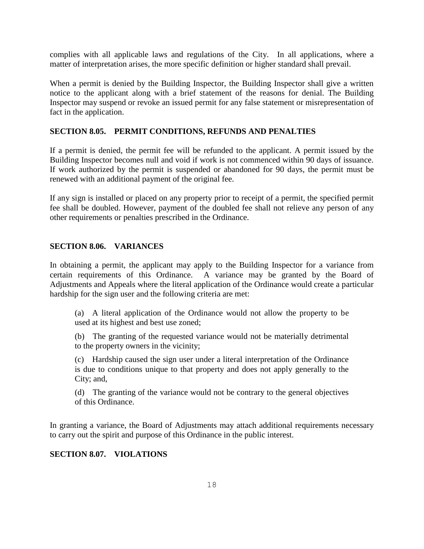complies with all applicable laws and regulations of the City. In all applications, where a matter of interpretation arises, the more specific definition or higher standard shall prevail.

When a permit is denied by the Building Inspector, the Building Inspector shall give a written notice to the applicant along with a brief statement of the reasons for denial. The Building Inspector may suspend or revoke an issued permit for any false statement or misrepresentation of fact in the application.

#### **SECTION 8.05. PERMIT CONDITIONS, REFUNDS AND PENALTIES**

If a permit is denied, the permit fee will be refunded to the applicant. A permit issued by the Building Inspector becomes null and void if work is not commenced within 90 days of issuance. If work authorized by the permit is suspended or abandoned for 90 days, the permit must be renewed with an additional payment of the original fee.

If any sign is installed or placed on any property prior to receipt of a permit, the specified permit fee shall be doubled. However, payment of the doubled fee shall not relieve any person of any other requirements or penalties prescribed in the Ordinance.

#### **SECTION 8.06. VARIANCES**

In obtaining a permit, the applicant may apply to the Building Inspector for a variance from certain requirements of this Ordinance. A variance may be granted by the Board of Adjustments and Appeals where the literal application of the Ordinance would create a particular hardship for the sign user and the following criteria are met:

(a) A literal application of the Ordinance would not allow the property to be used at its highest and best use zoned;

(b) The granting of the requested variance would not be materially detrimental to the property owners in the vicinity;

(c) Hardship caused the sign user under a literal interpretation of the Ordinance is due to conditions unique to that property and does not apply generally to the City; and,

(d) The granting of the variance would not be contrary to the general objectives of this Ordinance.

In granting a variance, the Board of Adjustments may attach additional requirements necessary to carry out the spirit and purpose of this Ordinance in the public interest.

#### **SECTION 8.07. VIOLATIONS**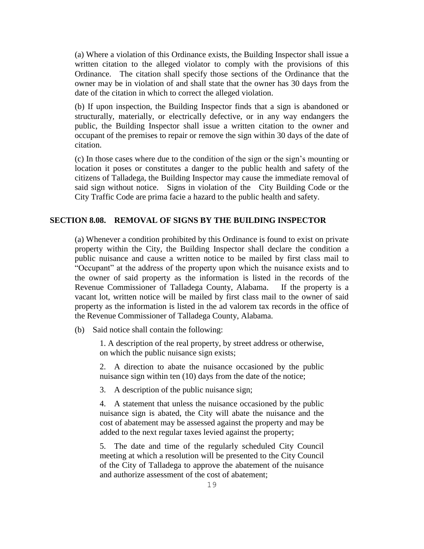(a) Where a violation of this Ordinance exists, the Building Inspector shall issue a written citation to the alleged violator to comply with the provisions of this Ordinance. The citation shall specify those sections of the Ordinance that the owner may be in violation of and shall state that the owner has 30 days from the date of the citation in which to correct the alleged violation.

(b) If upon inspection, the Building Inspector finds that a sign is abandoned or structurally, materially, or electrically defective, or in any way endangers the public, the Building Inspector shall issue a written citation to the owner and occupant of the premises to repair or remove the sign within 30 days of the date of citation.

(c) In those cases where due to the condition of the sign or the sign's mounting or location it poses or constitutes a danger to the public health and safety of the citizens of Talladega, the Building Inspector may cause the immediate removal of said sign without notice. Signs in violation of the City Building Code or the City Traffic Code are prima facie a hazard to the public health and safety.

#### **SECTION 8.08. REMOVAL OF SIGNS BY THE BUILDING INSPECTOR**

(a) Whenever a condition prohibited by this Ordinance is found to exist on private property within the City, the Building Inspector shall declare the condition a public nuisance and cause a written notice to be mailed by first class mail to "Occupant" at the address of the property upon which the nuisance exists and to the owner of said property as the information is listed in the records of the Revenue Commissioner of Talladega County, Alabama. If the property is a vacant lot, written notice will be mailed by first class mail to the owner of said property as the information is listed in the ad valorem tax records in the office of the Revenue Commissioner of Talladega County, Alabama.

(b) Said notice shall contain the following:

1. A description of the real property, by street address or otherwise, on which the public nuisance sign exists;

2. A direction to abate the nuisance occasioned by the public nuisance sign within ten (10) days from the date of the notice;

3. A description of the public nuisance sign;

4. A statement that unless the nuisance occasioned by the public nuisance sign is abated, the City will abate the nuisance and the cost of abatement may be assessed against the property and may be added to the next regular taxes levied against the property;

5. The date and time of the regularly scheduled City Council meeting at which a resolution will be presented to the City Council of the City of Talladega to approve the abatement of the nuisance and authorize assessment of the cost of abatement;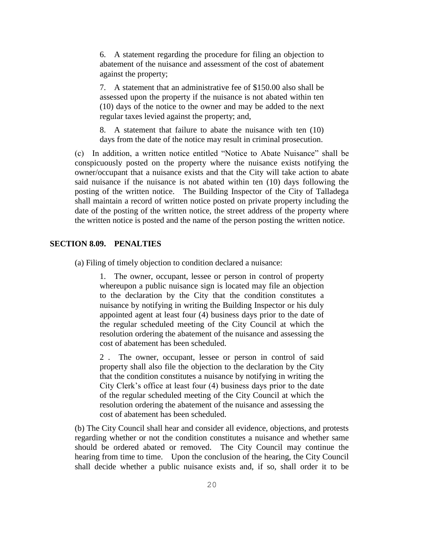6. A statement regarding the procedure for filing an objection to abatement of the nuisance and assessment of the cost of abatement against the property;

7. A statement that an administrative fee of \$150.00 also shall be assessed upon the property if the nuisance is not abated within ten (10) days of the notice to the owner and may be added to the next regular taxes levied against the property; and,

8. A statement that failure to abate the nuisance with ten (10) days from the date of the notice may result in criminal prosecution.

(c) In addition, a written notice entitled "Notice to Abate Nuisance" shall be conspicuously posted on the property where the nuisance exists notifying the owner/occupant that a nuisance exists and that the City will take action to abate said nuisance if the nuisance is not abated within ten (10) days following the posting of the written notice. The Building Inspector of the City of Talladega shall maintain a record of written notice posted on private property including the date of the posting of the written notice, the street address of the property where the written notice is posted and the name of the person posting the written notice.

#### **SECTION 8.09. PENALTIES**

(a) Filing of timely objection to condition declared a nuisance:

1. The owner, occupant, lessee or person in control of property whereupon a public nuisance sign is located may file an objection to the declaration by the City that the condition constitutes a nuisance by notifying in writing the Building Inspector or his duly appointed agent at least four (4) business days prior to the date of the regular scheduled meeting of the City Council at which the resolution ordering the abatement of the nuisance and assessing the cost of abatement has been scheduled.

2 . The owner, occupant, lessee or person in control of said property shall also file the objection to the declaration by the City that the condition constitutes a nuisance by notifying in writing the City Clerk's office at least four (4) business days prior to the date of the regular scheduled meeting of the City Council at which the resolution ordering the abatement of the nuisance and assessing the cost of abatement has been scheduled.

(b) The City Council shall hear and consider all evidence, objections, and protests regarding whether or not the condition constitutes a nuisance and whether same should be ordered abated or removed. The City Council may continue the hearing from time to time. Upon the conclusion of the hearing, the City Council shall decide whether a public nuisance exists and, if so, shall order it to be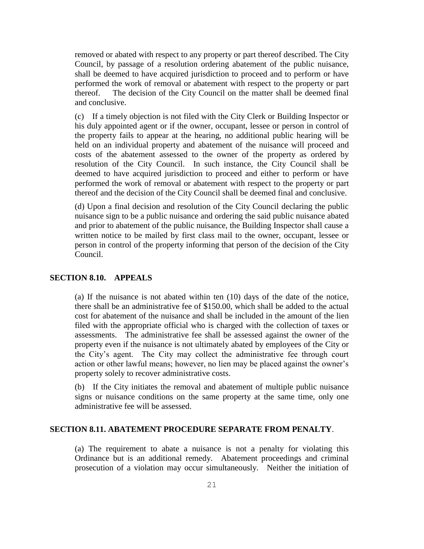removed or abated with respect to any property or part thereof described. The City Council, by passage of a resolution ordering abatement of the public nuisance, shall be deemed to have acquired jurisdiction to proceed and to perform or have performed the work of removal or abatement with respect to the property or part thereof. The decision of the City Council on the matter shall be deemed final and conclusive.

(c) If a timely objection is not filed with the City Clerk or Building Inspector or his duly appointed agent or if the owner, occupant, lessee or person in control of the property fails to appear at the hearing, no additional public hearing will be held on an individual property and abatement of the nuisance will proceed and costs of the abatement assessed to the owner of the property as ordered by resolution of the City Council. In such instance, the City Council shall be deemed to have acquired jurisdiction to proceed and either to perform or have performed the work of removal or abatement with respect to the property or part thereof and the decision of the City Council shall be deemed final and conclusive.

(d) Upon a final decision and resolution of the City Council declaring the public nuisance sign to be a public nuisance and ordering the said public nuisance abated and prior to abatement of the public nuisance, the Building Inspector shall cause a written notice to be mailed by first class mail to the owner, occupant, lessee or person in control of the property informing that person of the decision of the City Council.

#### **SECTION 8.10. APPEALS**

(a) If the nuisance is not abated within ten (10) days of the date of the notice, there shall be an administrative fee of \$150.00, which shall be added to the actual cost for abatement of the nuisance and shall be included in the amount of the lien filed with the appropriate official who is charged with the collection of taxes or assessments. The administrative fee shall be assessed against the owner of the property even if the nuisance is not ultimately abated by employees of the City or the City's agent. The City may collect the administrative fee through court action or other lawful means; however, no lien may be placed against the owner's property solely to recover administrative costs.

(b) If the City initiates the removal and abatement of multiple public nuisance signs or nuisance conditions on the same property at the same time, only one administrative fee will be assessed.

#### **SECTION 8.11. ABATEMENT PROCEDURE SEPARATE FROM PENALTY**.

(a) The requirement to abate a nuisance is not a penalty for violating this Ordinance but is an additional remedy. Abatement proceedings and criminal prosecution of a violation may occur simultaneously. Neither the initiation of